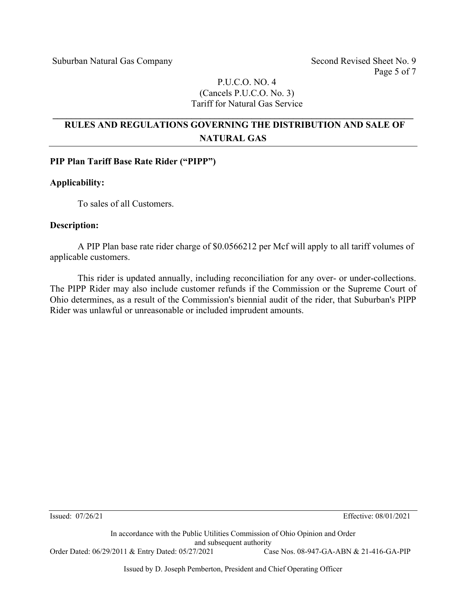### P.U.C.O. NO. 4 (Cancels P.U.C.O. No. 3) Tariff for Natural Gas Service

# **RULES AND REGULATIONS GOVERNING THE DISTRIBUTION AND SALE OF NATURAL GAS**

**\_\_\_\_\_\_\_\_\_\_\_\_\_\_\_\_\_\_\_\_\_\_\_\_\_\_\_\_\_\_\_\_\_\_\_\_\_\_\_\_\_\_\_\_\_\_\_\_\_\_\_\_\_\_\_\_\_\_\_\_\_\_\_\_\_\_\_\_\_\_\_\_\_\_\_\_\_\_** 

### **PIP Plan Tariff Base Rate Rider ("PIPP")**

### **Applicability:**

To sales of all Customers.

#### **Description:**

A PIP Plan base rate rider charge of \$0.0566212 per Mcf will apply to all tariff volumes of applicable customers.

This rider is updated annually, including reconciliation for any over- or under-collections. The PIPP Rider may also include customer refunds if the Commission or the Supreme Court of Ohio determines, as a result of the Commission's biennial audit of the rider, that Suburban's PIPP Rider was unlawful or unreasonable or included imprudent amounts.

Issued: 07/26/21 Effective: 08/01/2021

In accordance with the Public Utilities Commission of Ohio Opinion and Order and subsequent authority<br>  $7/2021$  Case Nos. 08-947-GA-ABN & 21-416-GA-PIP Order Dated: 06/29/2011 & Entry Dated: 05/27/2021